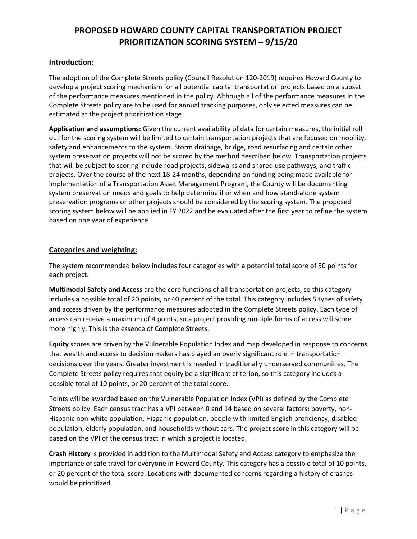## **Introduction:**

The adoption of the Complete Streets policy (Council Resolution 120-2019) requires Howard County to develop a project scoring mechanism for all potential capital transportation projects based on a subset of the performance measures mentioned in the policy. Although all of the performance measures in the Complete Streets policy are to be used for annual tracking purposes, only selected measures can be estimated at the project prioritization stage.

**Application and assumptions:** Given the current availability of data for certain measures, the initial roll out for the scoring system will be limited to certain transportation projects that are focused on mobility, safety and enhancements to the system. Storm drainage, bridge, road resurfacing and certain other system preservation projects will not be scored by the method described below. Transportation projects that will be subject to scoring include road projects, sidewalks and shared use pathways, and traffic projects. Over the course of the next 18-24 months, depending on funding being made available for implementation of a Transportation Asset Management Program, the County will be documenting system preservation needs and goals to help determine if or when and how stand-alone system preservation programs or other projects should be considered by the scoring system. The proposed scoring system below will be applied in FY 2022 and be evaluated after the first year to refine the system based on one year of experience.

## **Categories and weighting:**

The system recommended below includes four categories with a potential total score of 50 points for each project.

**Multimodal Safety and Access** are the core functions of all transportation projects, so this category includes a possible total of 20 points, or 40 percent of the total. This category includes 5 types of safety and access driven by the performance measures adopted in the Complete Streets policy. Each type of access can receive a maximum of 4 points, so a project providing multiple forms of access will score more highly. This is the essence of Complete Streets.

**Equity** scores are driven by the Vulnerable Population Index and map developed in response to concerns that wealth and access to decision makers has played an overly significant role in transportation decisions over the years. Greater investment is needed in traditionally underserved communities. The Complete Streets policy requires that equity be a significant criterion, so this category includes a possible total of 10 points, or 20 percent of the total score.

Points will be awarded based on the Vulnerable Population Index (VPI) as defined by the Complete Streets policy. Each census tract has a VPI between 0 and 14 based on several factors: poverty, non-Hispanic non-white population, Hispanic population, people with limited English proficiency, disabled population, elderly population, and households without cars. The project score in this category will be based on the VPI of the census tract in which a project is located.

**Crash History** is provided in addition to the Multimodal Safety and Access category to emphasize the importance of safe travel for everyone in Howard County. This category has a possible total of 10 points, or 20 percent of the total score. Locations with documented concerns regarding a history of crashes would be prioritized.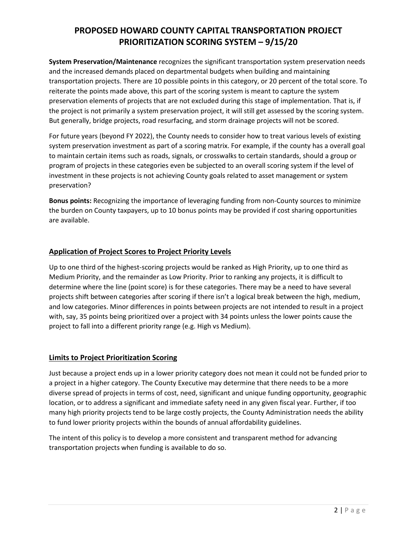**System Preservation/Maintenance** recognizes the significant transportation system preservation needs and the increased demands placed on departmental budgets when building and maintaining transportation projects. There are 10 possible points in this category, or 20 percent of the total score. To reiterate the points made above, this part of the scoring system is meant to capture the system preservation elements of projects that are not excluded during this stage of implementation. That is, if the project is not primarily a system preservation project, it will still get assessed by the scoring system. But generally, bridge projects, road resurfacing, and storm drainage projects will not be scored.

For future years (beyond FY 2022), the County needs to consider how to treat various levels of existing system preservation investment as part of a scoring matrix. For example, if the county has a overall goal to maintain certain items such as roads, signals, or crosswalks to certain standards, should a group or program of projects in these categories even be subjected to an overall scoring system if the level of investment in these projects is not achieving County goals related to asset management or system preservation?

**Bonus points:** Recognizing the importance of leveraging funding from non-County sources to minimize the burden on County taxpayers, up to 10 bonus points may be provided if cost sharing opportunities are available.

## **Application of Project Scores to Project Priority Levels**

Up to one third of the highest-scoring projects would be ranked as High Priority, up to one third as Medium Priority, and the remainder as Low Priority. Prior to ranking any projects, it is difficult to determine where the line (point score) is for these categories. There may be a need to have several projects shift between categories after scoring if there isn't a logical break between the high, medium, and low categories. Minor differences in points between projects are not intended to result in a project with, say, 35 points being prioritized over a project with 34 points unless the lower points cause the project to fall into a different priority range (e.g. High vs Medium).

## **Limits to Project Prioritization Scoring**

Just because a project ends up in a lower priority category does not mean it could not be funded prior to a project in a higher category. The County Executive may determine that there needs to be a more diverse spread of projects in terms of cost, need, significant and unique funding opportunity, geographic location, or to address a significant and immediate safety need in any given fiscal year. Further, if too many high priority projects tend to be large costly projects, the County Administration needs the ability to fund lower priority projects within the bounds of annual affordability guidelines.

The intent of this policy is to develop a more consistent and transparent method for advancing transportation projects when funding is available to do so.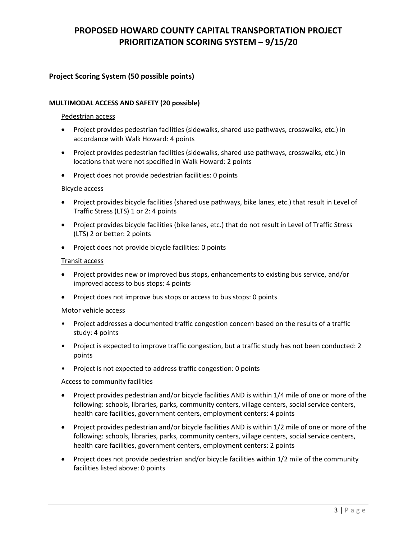## **Project Scoring System (50 possible points)**

#### **MULTIMODAL ACCESS AND SAFETY (20 possible)**

#### Pedestrian access

- Project provides pedestrian facilities (sidewalks, shared use pathways, crosswalks, etc.) in accordance with Walk Howard: 4 points
- Project provides pedestrian facilities (sidewalks, shared use pathways, crosswalks, etc.) in locations that were not specified in Walk Howard: 2 points
- Project does not provide pedestrian facilities: 0 points

#### Bicycle access

- Project provides bicycle facilities (shared use pathways, bike lanes, etc.) that result in Level of Traffic Stress (LTS) 1 or 2: 4 points
- Project provides bicycle facilities (bike lanes, etc.) that do not result in Level of Traffic Stress (LTS) 2 or better: 2 points
- Project does not provide bicycle facilities: 0 points

#### Transit access

- Project provides new or improved bus stops, enhancements to existing bus service, and/or improved access to bus stops: 4 points
- Project does not improve bus stops or access to bus stops: 0 points

#### Motor vehicle access

- Project addresses a documented traffic congestion concern based on the results of a traffic study: 4 points
- Project is expected to improve traffic congestion, but a traffic study has not been conducted: 2 points
- Project is not expected to address traffic congestion: 0 points

#### Access to community facilities

- Project provides pedestrian and/or bicycle facilities AND is within 1/4 mile of one or more of the following: schools, libraries, parks, community centers, village centers, social service centers, health care facilities, government centers, employment centers: 4 points
- Project provides pedestrian and/or bicycle facilities AND is within 1/2 mile of one or more of the following: schools, libraries, parks, community centers, village centers, social service centers, health care facilities, government centers, employment centers: 2 points
- Project does not provide pedestrian and/or bicycle facilities within 1/2 mile of the community facilities listed above: 0 points